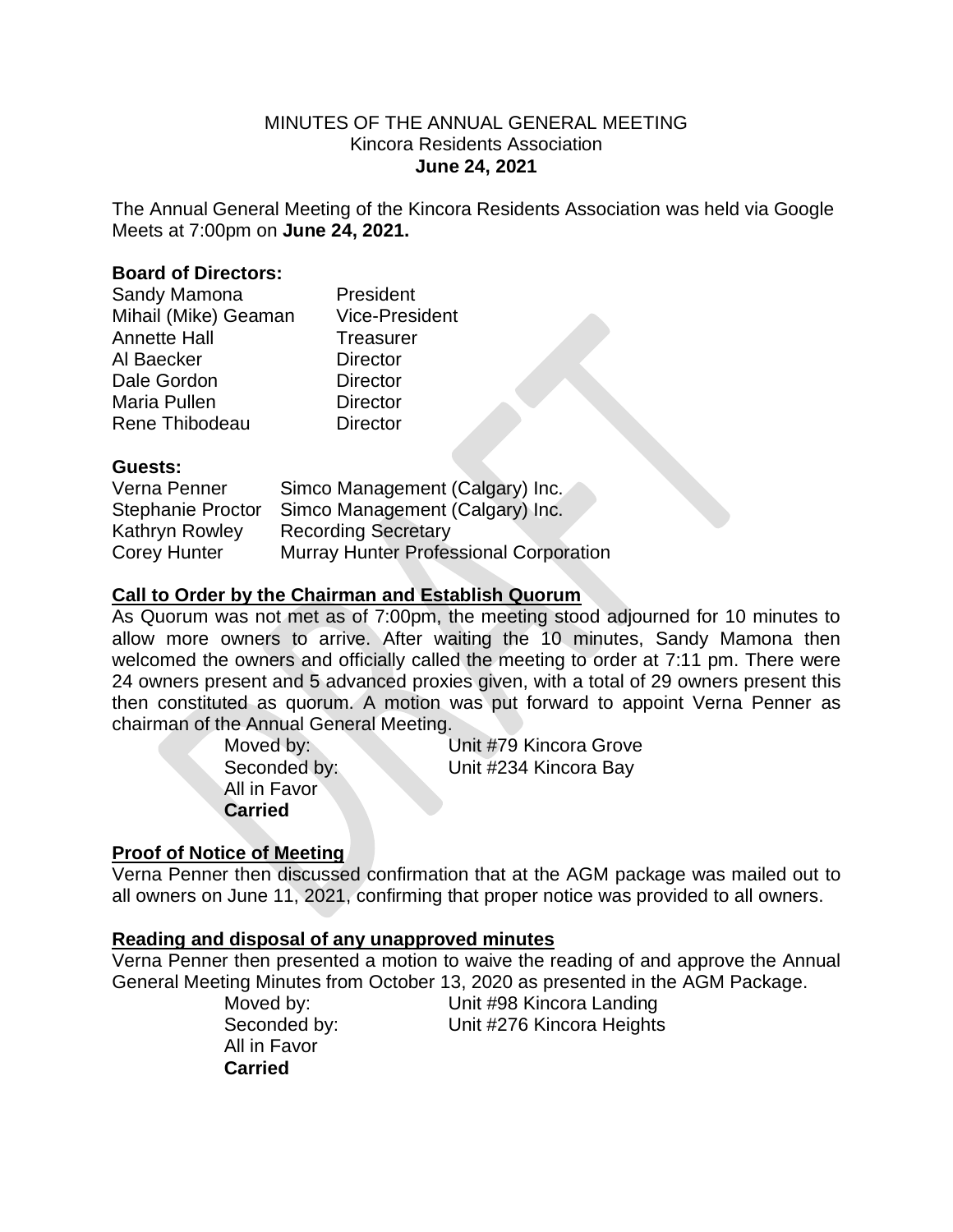### MINUTES OF THE ANNUAL GENERAL MEETING Kincora Residents Association **June 24, 2021**

The Annual General Meeting of the Kincora Residents Association was held via Google Meets at 7:00pm on **June 24, 2021.**

### **Board of Directors:**

| Sandy Mamona         | President             |
|----------------------|-----------------------|
| Mihail (Mike) Geaman | <b>Vice-President</b> |
| <b>Annette Hall</b>  | <b>Treasurer</b>      |
| Al Baecker           | <b>Director</b>       |
| Dale Gordon          | <b>Director</b>       |
| Maria Pullen         | <b>Director</b>       |
| Rene Thibodeau       | <b>Director</b>       |

### **Guests:**

| Verna Penner             | Simco Management (Calgary) Inc.        |
|--------------------------|----------------------------------------|
| <b>Stephanie Proctor</b> | Simco Management (Calgary) Inc.        |
| Kathryn Rowley           | <b>Recording Secretary</b>             |
| <b>Corey Hunter</b>      | Murray Hunter Professional Corporation |

# **Call to Order by the Chairman and Establish Quorum**

As Quorum was not met as of 7:00pm, the meeting stood adjourned for 10 minutes to allow more owners to arrive. After waiting the 10 minutes, Sandy Mamona then welcomed the owners and officially called the meeting to order at 7:11 pm. There were 24 owners present and 5 advanced proxies given, with a total of 29 owners present this then constituted as quorum. A motion was put forward to appoint Verna Penner as chairman of the Annual General Meeting.

> All in Favor **Carried**

Moved by: Unit #79 Kincora Grove Seconded by: Unit #234 Kincora Bay

## **Proof of Notice of Meeting**

Verna Penner then discussed confirmation that at the AGM package was mailed out to all owners on June 11, 2021, confirming that proper notice was provided to all owners.

#### **Reading and disposal of any unapproved minutes**

Verna Penner then presented a motion to waive the reading of and approve the Annual General Meeting Minutes from October 13, 2020 as presented in the AGM Package.

> All in Favor **Carried**

Moved by: Unit #98 Kincora Landing Seconded by: Unit #276 Kincora Heights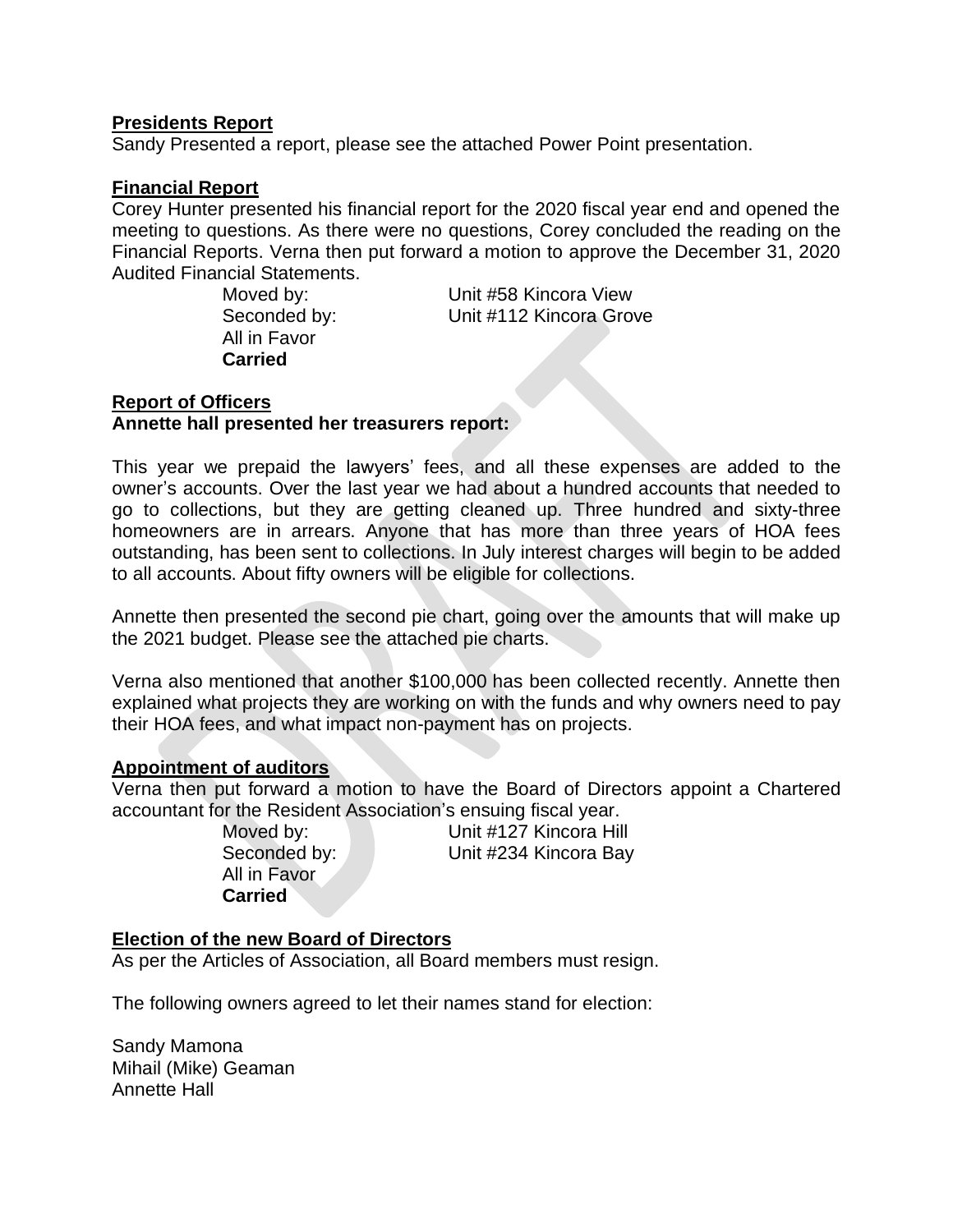### **Presidents Report**

Sandy Presented a report, please see the attached Power Point presentation.

### **Financial Report**

Corey Hunter presented his financial report for the 2020 fiscal year end and opened the meeting to questions. As there were no questions, Corey concluded the reading on the Financial Reports. Verna then put forward a motion to approve the December 31, 2020 Audited Financial Statements.

> All in Favor **Carried**

Moved by: Unit #58 Kincora View Seconded by: Unit #112 Kincora Grove

# **Report of Officers Annette hall presented her treasurers report:**

This year we prepaid the lawyers' fees, and all these expenses are added to the owner's accounts. Over the last year we had about a hundred accounts that needed to go to collections, but they are getting cleaned up. Three hundred and sixty-three homeowners are in arrears. Anyone that has more than three years of HOA fees outstanding, has been sent to collections. In July interest charges will begin to be added to all accounts. About fifty owners will be eligible for collections.

Annette then presented the second pie chart, going over the amounts that will make up the 2021 budget. Please see the attached pie charts.

Verna also mentioned that another \$100,000 has been collected recently. Annette then explained what projects they are working on with the funds and why owners need to pay their HOA fees, and what impact non-payment has on projects.

## **Appointment of auditors**

Verna then put forward a motion to have the Board of Directors appoint a Chartered accountant for the Resident Association's ensuing fiscal year.

All in Favor **Carried**

Moved by: Unit #127 Kincora Hill Seconded by: Unit #234 Kincora Bay

#### **Election of the new Board of Directors**

As per the Articles of Association, all Board members must resign.

The following owners agreed to let their names stand for election:

Sandy Mamona Mihail (Mike) Geaman Annette Hall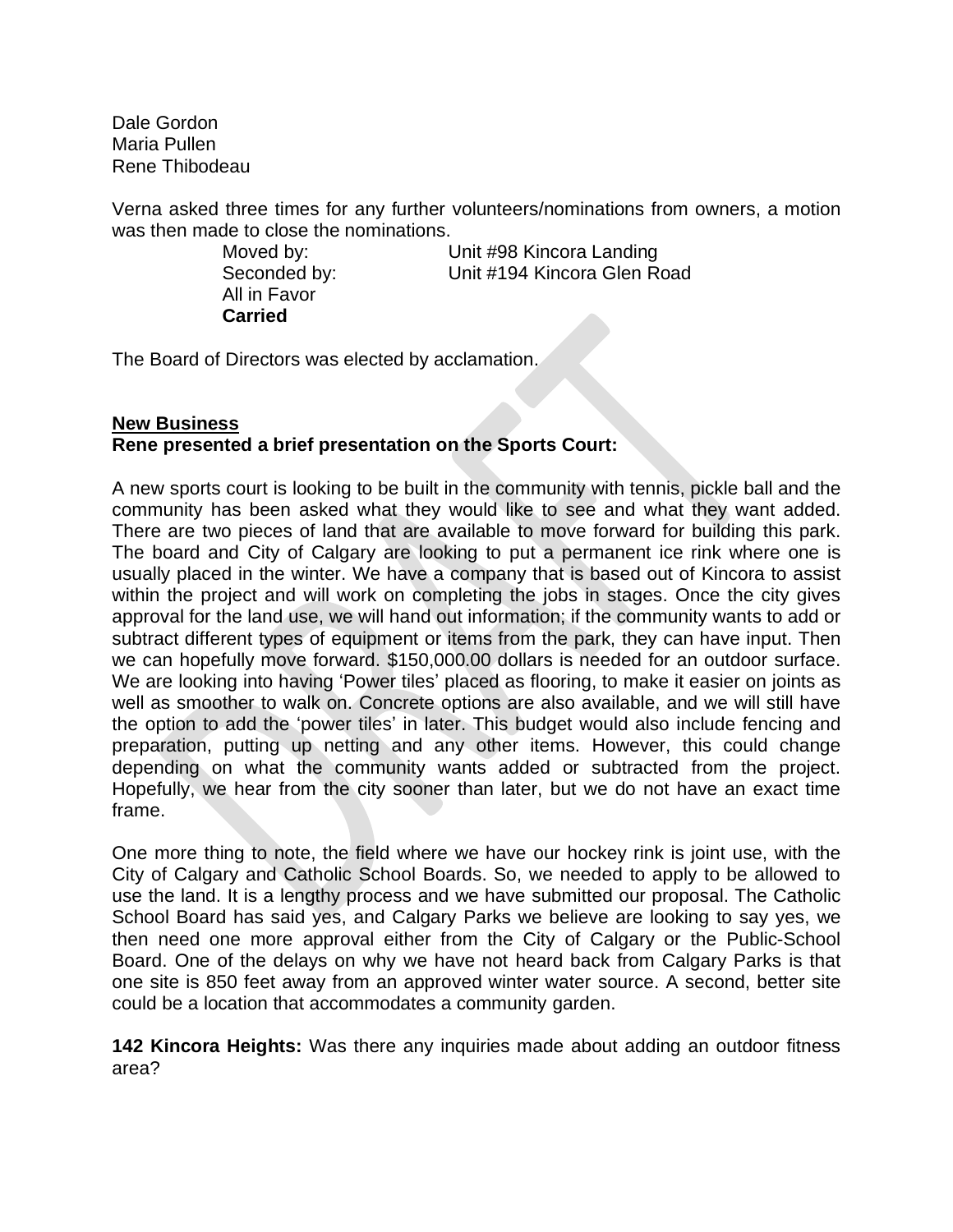Dale Gordon Maria Pullen Rene Thibodeau

Verna asked three times for any further volunteers/nominations from owners, a motion was then made to close the nominations.

> All in Favor **Carried**

Moved by: Unit #98 Kincora Landing Seconded by: Unit #194 Kincora Glen Road

The Board of Directors was elected by acclamation.

# **New Business Rene presented a brief presentation on the Sports Court:**

A new sports court is looking to be built in the community with tennis, pickle ball and the community has been asked what they would like to see and what they want added. There are two pieces of land that are available to move forward for building this park. The board and City of Calgary are looking to put a permanent ice rink where one is usually placed in the winter. We have a company that is based out of Kincora to assist within the project and will work on completing the jobs in stages. Once the city gives approval for the land use, we will hand out information; if the community wants to add or subtract different types of equipment or items from the park, they can have input. Then we can hopefully move forward. \$150,000.00 dollars is needed for an outdoor surface. We are looking into having 'Power tiles' placed as flooring, to make it easier on joints as well as smoother to walk on. Concrete options are also available, and we will still have the option to add the 'power tiles' in later. This budget would also include fencing and preparation, putting up netting and any other items. However, this could change depending on what the community wants added or subtracted from the project. Hopefully, we hear from the city sooner than later, but we do not have an exact time frame.

One more thing to note, the field where we have our hockey rink is joint use, with the City of Calgary and Catholic School Boards. So, we needed to apply to be allowed to use the land. It is a lengthy process and we have submitted our proposal. The Catholic School Board has said yes, and Calgary Parks we believe are looking to say yes, we then need one more approval either from the City of Calgary or the Public-School Board. One of the delays on why we have not heard back from Calgary Parks is that one site is 850 feet away from an approved winter water source. A second, better site could be a location that accommodates a community garden.

**142 Kincora Heights:** Was there any inquiries made about adding an outdoor fitness area?